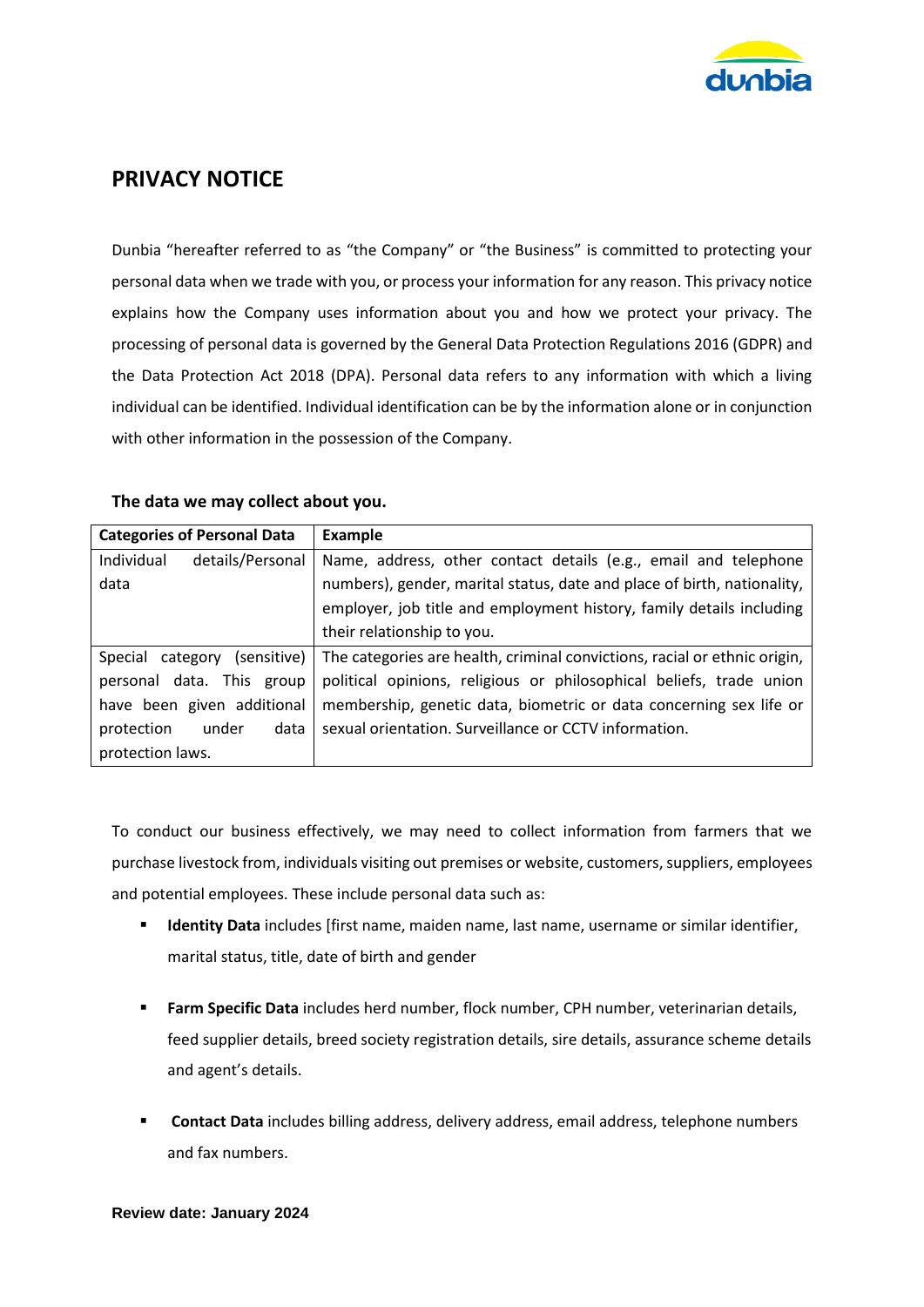

# **PRIVACY NOTICE**

Dunbia "hereafter referred to as "the Company" or "the Business" is committed to protecting your personal data when we trade with you, or process your information for any reason. This privacy notice explains how the Company uses information about you and how we protect your privacy. The processing of personal data is governed by the General Data Protection Regulations 2016 (GDPR) and the Data Protection Act 2018 (DPA). Personal data refers to any information with which a living individual can be identified. Individual identification can be by the information alone or in conjunction with other information in the possession of the Company.

### **The data we may collect about you.**

| <b>Categories of Personal Data</b> | <b>Example</b>                                                            |
|------------------------------------|---------------------------------------------------------------------------|
| Individual<br>details/Personal     | Name, address, other contact details (e.g., email and telephone           |
| data                               | numbers), gender, marital status, date and place of birth, nationality,   |
|                                    | employer, job title and employment history, family details including      |
|                                    | their relationship to you.                                                |
| Special category (sensitive)       | The categories are health, criminal convictions, racial or ethnic origin, |
| personal data. This group          | political opinions, religious or philosophical beliefs, trade union       |
| have been given additional         | membership, genetic data, biometric or data concerning sex life or        |
| protection<br>data<br>under        | sexual orientation. Surveillance or CCTV information.                     |
| protection laws.                   |                                                                           |

To conduct our business effectively, we may need to collect information from farmers that we purchase livestock from, individuals visiting out premises or website, customers, suppliers, employees and potential employees. These include personal data such as:

- **EXECT 10** Identity Data includes [first name, maiden name, last name, username or similar identifier, marital status, title, date of birth and gender
- **Farm Specific Data** includes herd number, flock number, CPH number, veterinarian details, feed supplier details, breed society registration details, sire details, assurance scheme details and agent's details.
- **EXECONTER 1 Contact Data** includes billing address, delivery address, email address, telephone numbers and fax numbers.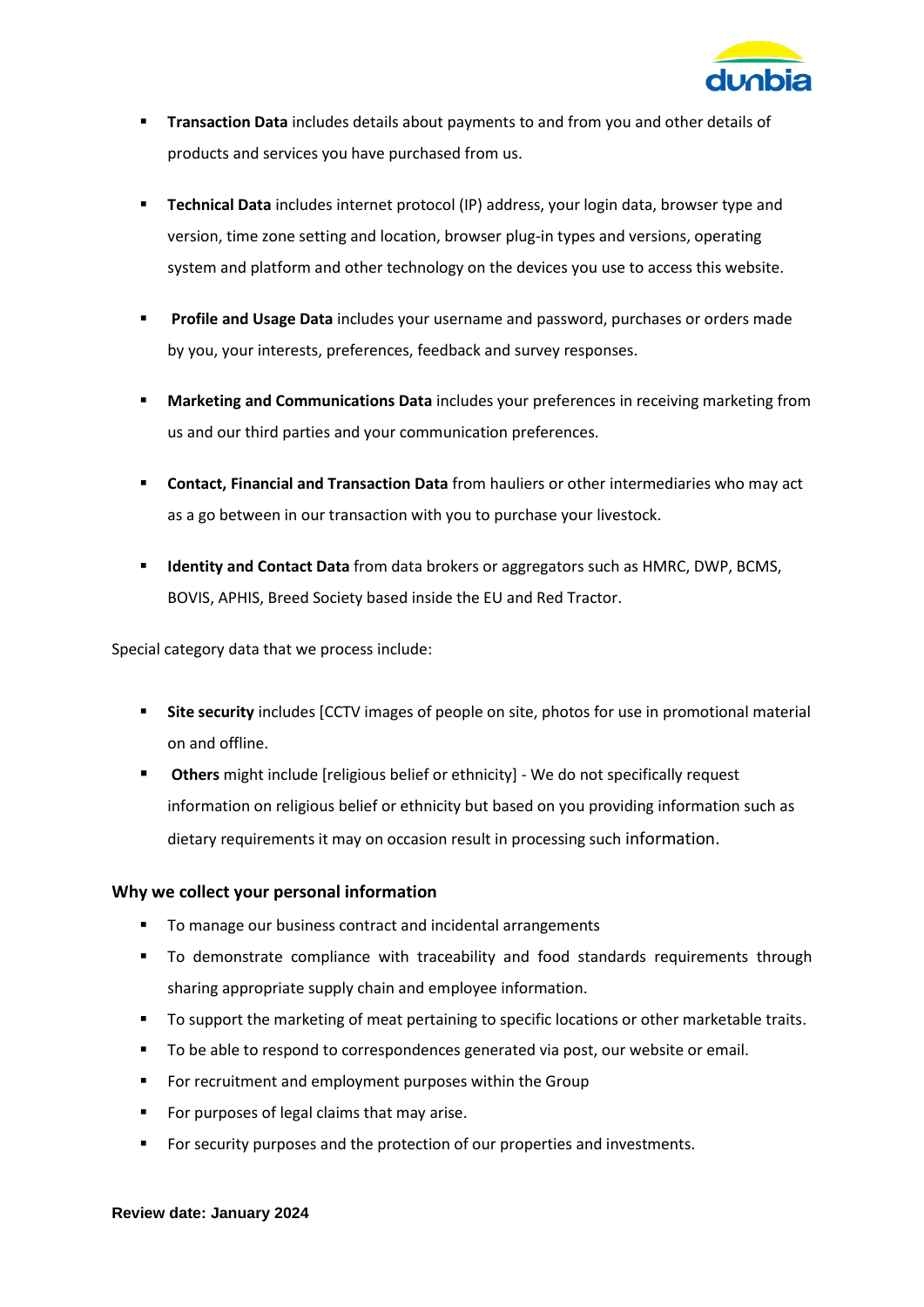

- **Transaction Data** includes details about payments to and from you and other details of products and services you have purchased from us.
- **Technical Data** includes internet protocol (IP) address, your login data, browser type and version, time zone setting and location, browser plug-in types and versions, operating system and platform and other technology on the devices you use to access this website.
- **Profile and Usage Data** includes your username and password, purchases or orders made by you, your interests, preferences, feedback and survey responses.
- **Marketing and Communications Data** includes your preferences in receiving marketing from us and our third parties and your communication preferences.
- **Contact, Financial and Transaction Data** from hauliers or other intermediaries who may act as a go between in our transaction with you to purchase your livestock.
- **Identity and Contact Data** from data brokers or aggregators such as HMRC, DWP, BCMS, BOVIS, APHIS, Breed Society based inside the EU and Red Tractor.

Special category data that we process include:

- **EXTE: Site security** includes [CCTV images of people on site, photos for use in promotional material on and offline.
- **Others** might include [religious belief or ethnicity] We do not specifically request information on religious belief or ethnicity but based on you providing information such as dietary requirements it may on occasion result in processing such information.

## **Why we collect your personal information**

- To manage our business contract and incidental arrangements
- **•** To demonstrate compliance with traceability and food standards requirements through sharing appropriate supply chain and employee information.
- To support the marketing of meat pertaining to specific locations or other marketable traits.
- To be able to respond to correspondences generated via post, our website or email.
- For recruitment and employment purposes within the Group
- For purposes of legal claims that may arise.
- For security purposes and the protection of our properties and investments.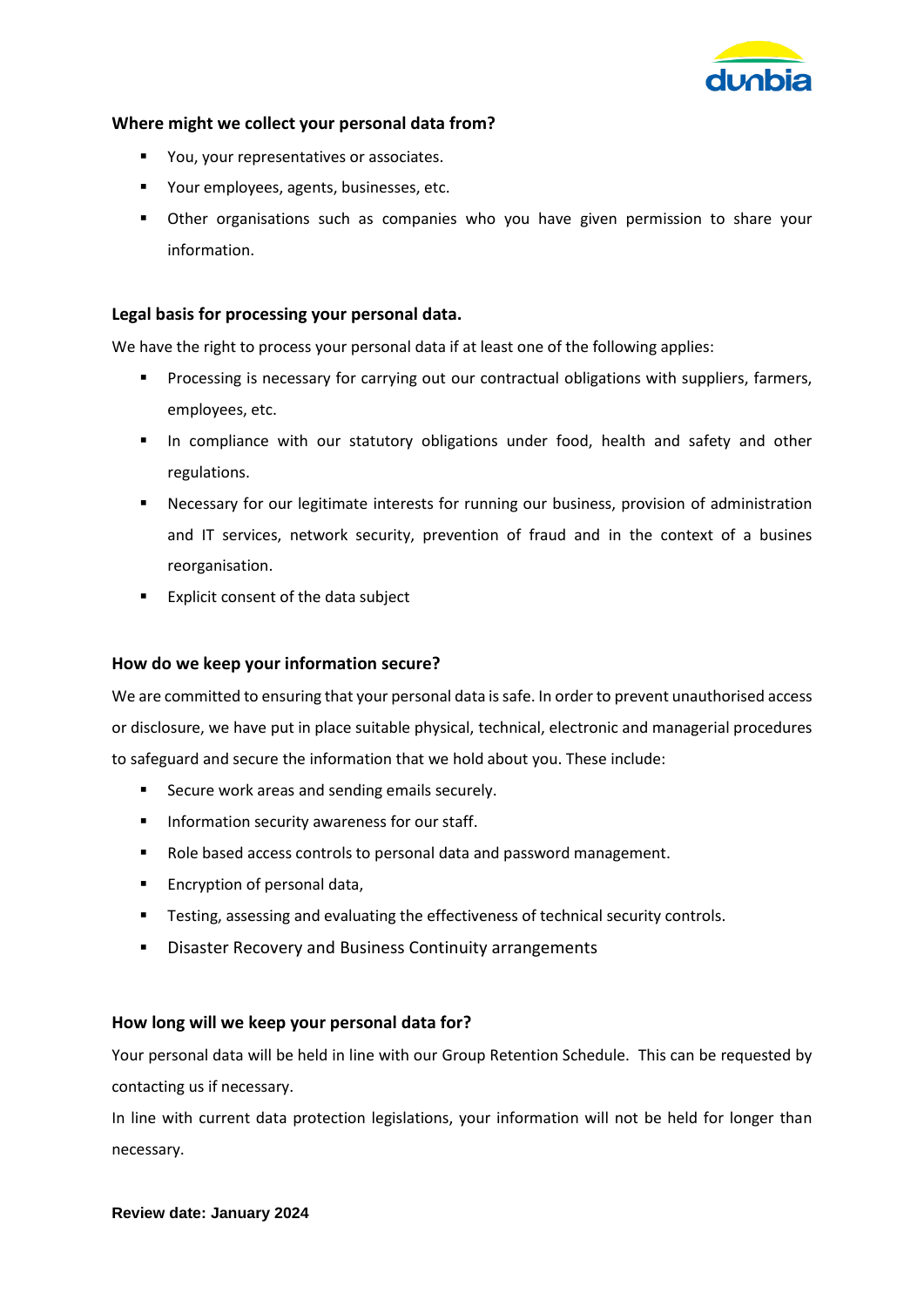

## **Where might we collect your personal data from?**

- You, your representatives or associates.
- Your employees, agents, businesses, etc.
- **E** Other organisations such as companies who you have given permission to share your information.

#### **Legal basis for processing your personal data.**

We have the right to process your personal data if at least one of the following applies:

- Processing is necessary for carrying out our contractual obligations with suppliers, farmers, employees, etc.
- **■** In compliance with our statutory obligations under food, health and safety and other regulations.
- **EXECO FIGHTS INTERT INTERT INTERT INTERT IS EXECOGLY FOR THE INTERT IS EXECOGLY FOR THE INTERTATION Processary for our legitimate interesting** our business, provision of administration and IT services, network security, prevention of fraud and in the context of a busines reorganisation.
- Explicit consent of the data subject

#### **How do we keep your information secure?**

We are committed to ensuring that your personal data is safe. In order to prevent unauthorised access or disclosure, we have put in place suitable physical, technical, electronic and managerial procedures to safeguard and secure the information that we hold about you. These include:

- Secure work areas and sending emails securely.
- **■** Information security awareness for our staff.
- Role based access controls to personal data and password management.
- Encryption of personal data,
- **EXECT** Testing, assessing and evaluating the effectiveness of technical security controls.
- Disaster Recovery and Business Continuity arrangements

#### **How long will we keep your personal data for?**

Your personal data will be held in line with our Group Retention Schedule. This can be requested by contacting us if necessary.

In line with current data protection legislations, your information will not be held for longer than necessary.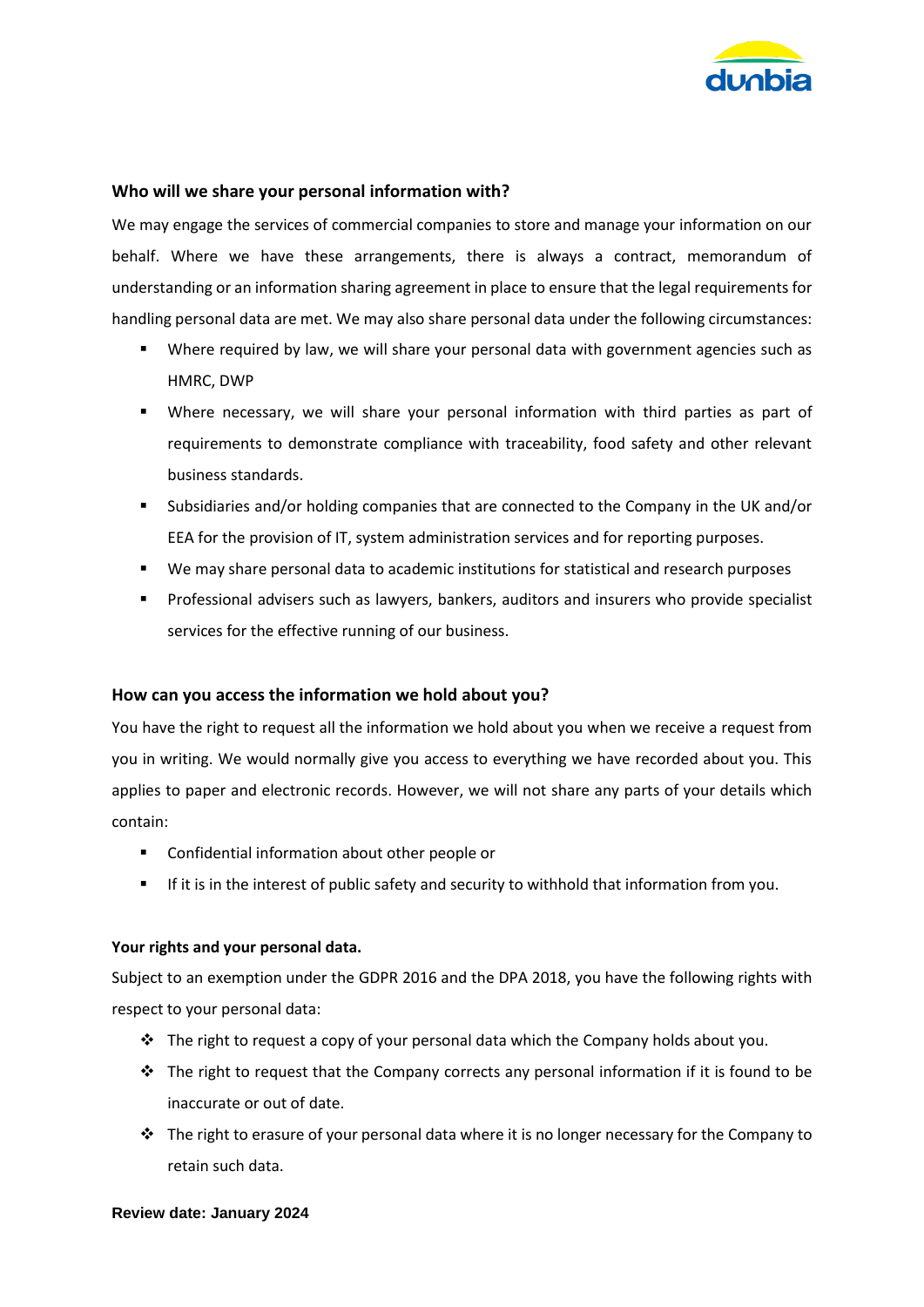

#### **Who will we share your personal information with?**

We may engage the services of commercial companies to store and manage your information on our behalf. Where we have these arrangements, there is always a contract, memorandum of understanding or an information sharing agreement in place to ensure that the legal requirements for handling personal data are met. We may also share personal data under the following circumstances:

- Where required by law, we will share your personal data with government agencies such as HMRC, DWP
- Where necessary, we will share your personal information with third parties as part of requirements to demonstrate compliance with traceability, food safety and other relevant business standards.
- Subsidiaries and/or holding companies that are connected to the Company in the UK and/or EEA for the provision of IT, system administration services and for reporting purposes.
- We may share personal data to academic institutions for statistical and research purposes
- **•** Professional advisers such as lawyers, bankers, auditors and insurers who provide specialist services for the effective running of our business.

## **How can you access the information we hold about you?**

You have the right to request all the information we hold about you when we receive a request from you in writing. We would normally give you access to everything we have recorded about you. This applies to paper and electronic records. However, we will not share any parts of your details which contain:

- Confidential information about other people or
- **E** If it is in the interest of public safety and security to withhold that information from you.

#### **Your rights and your personal data.**

Subject to an exemption under the GDPR 2016 and the DPA 2018, you have the following rights with respect to your personal data:

- $\div$  The right to request a copy of your personal data which the Company holds about you.
- $\div$  The right to request that the Company corrects any personal information if it is found to be inaccurate or out of date.
- $\cdot \cdot$  The right to erasure of your personal data where it is no longer necessary for the Company to retain such data.

#### **Review date: January 2024**